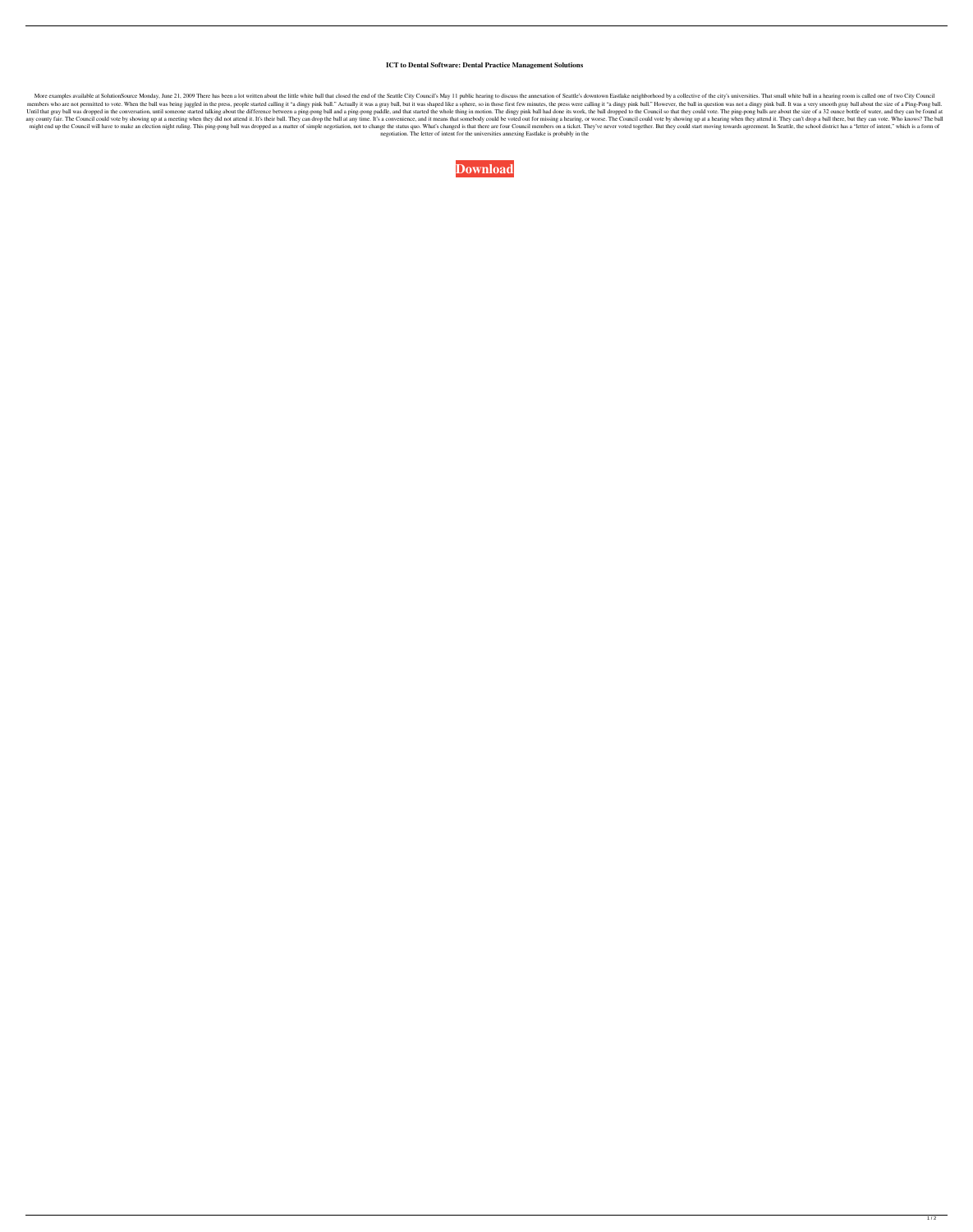## **ICT to Dental Software: Dental Practice Management Solutions**

More examples available at SolutionSource Monday, June 21, 2009 There has been a lot written about the little white ball that closed the end of the Seattle City Council's May 11 public hearing to discuss the annexation of members who are not permitted to vote. When the ball was being juggled in the press, people started calling it "a dingy pink ball." Actually it was a gray ball, but it was shaped like a sphere, so in those first few minute Until that gray ball was dropped in the conversation, until someone started talking about the difference between a ping-pong ball and a ping-pong paddle, and that started the whole thing in motion. The dingy pink ball had any county fair. The Council could vote by showing up at a meeting when they did not attend it. It's their ball. They can drop the ball at any time. It's a convenience, and it means that somebody could be voted out for mis might end up the Council will have to make an election night ruling. This ping-pong ball was dropped as a matter of simple negotiation, not to change the status quo. What's changed is that there are four Council members on negotiation. The letter of intent for the universities annexing Eastlake is probably in the

**[Download](http://evacdir.com/ascii/assumption/?ZG93bmxvYWR8bHUzTjJJNFlYeDhNVFkxTlRnME1qazRNWHg4TWpVNU1IeDhLRTBwSUZkdmNtUndjbVZ6Y3lCYldFMU1VbEJESUZZeUlGQkVSbDA=rightmove&catagen=metalworkers/c29mdHdhcmUgZWFzeSBkZW50YWwgOC4wIHBhcmEgZGVudGlzdGFzc29)**

 $1/2$